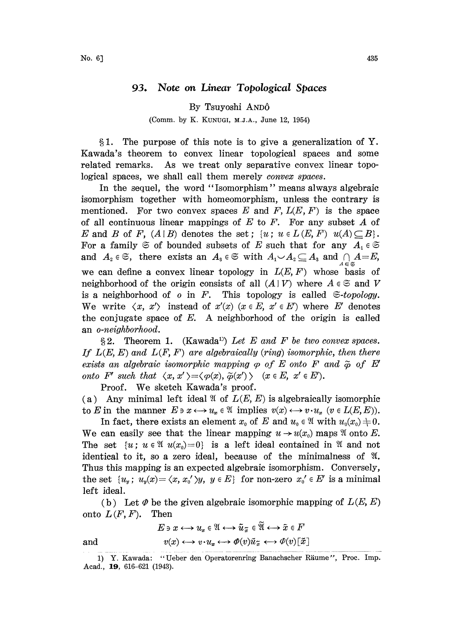## 93. Note on Linear Topological Spaces

## By Tsuyoshi AND6

## (Comm. by K. KUNUGI, M.J.A., June 12, 1954)

1. The purpose of this note is to give a generalization of Y. Kawada's theorem to convex linear topological spaces and some related remarks. As we treat only separative convex linear topological spaces, we shall call them merely *convex spaces*.

In the sequel, the word "Isomorphism" means always algebraic isomorphism together with homeomorphism, unless the contrary is mentioned. For two convex spaces E and F,  $L(E, F)$  is the space of all continuous linear mappings of  $E$  to  $F$ . For any subset  $A$  of E and B of F,  $(A | B)$  denotes the set;  $\{u : u \in L(E, F) \mid u(A) \subseteq B\}.$ For a family  $\mathfrak S$  of bounded subsets of E such that for any  $A_i \in \mathfrak S$ and  $A_2 \in \mathfrak{S}$ , there exists an  $A_3 \in \mathfrak{S}$  with  $A_1 \cup A_2 \subseteq A_3$  and  $\bigcap_{A \in \mathfrak{S}} A = E$ , we can define a convex linear topology in  $L(E, F)$  whose basis of neighborhood of the origin consists of all  $(A | V)$  where  $A \in \mathfrak{S}$  and V is a neighborhood of o in F. This topology is called  $\epsilon$ -topology. We write  $\langle x, x' \rangle$  instead of  $x'(x)$  ( $x \in E$ ,  $x' \in E'$ ) where E' denotes the conjugate space of  $E$ . A neighborhood of the origin is called an o-neighborhood.

 $\S 2.$  Theorem 1. (Kawada<sup>1)</sup>) Let E and F be two convex spaces. If  $L(E, E)$  and  $L(F, F)$  are algebraically (ring) isomorphic, then there exists an algebraic isomorphic mapping  $\varphi$  of E onto F and  $\tilde{\varphi}$  of E' onto F' such that  $\langle x, x' \rangle = \langle \varphi(x), \tilde{\varphi}(x') \rangle$  ( $x \in E$ ,  $x' \in E'$ ).

Proof. We sketch Kawada's proof.

(a) Any minimal left ideal  $\mathfrak A$  of  $L(E, E)$  is algebraically isomorphic

to E in the manner  $E \ni x \longleftrightarrow u_x \in \mathcal{X}$  implies  $v(x) \longleftrightarrow v \cdot u_x$   $(v \in L(E, E)).$ <br>In fact, there exists an element  $x_0$  of E and  $u_0 \in \mathcal{X}$  with  $u_0(x_0) \neq 0$ .<br>We see exists the linear manning  $u \rightarrow u(x)$  mans  $\mathcal{X}$  anto E In fact, there exists an element  $x_0$  of E and  $u_0 \in \mathfrak{A}$  with  $u_0(x_0) \neq 0$ . We can easily see that the linear mapping  $u \rightarrow u(x_0)$  maps  $\mathfrak A$  onto E. The set  $\{u : u \in \mathfrak{A} \mid u(x_0)=0\}$  is a left ideal contained in  $\mathfrak{A}$  and not identical to it, so a zero ideal, because of the minimalness of  $\mathfrak{A}$ . Thus this mapping is an expected algebraic isomorphism. Conversely, the set  $\{u_y; u_y(x) = \langle x, x'_0 \rangle y, y \in E\}$  for non-zero  $x'_0 \in E'$  is a minimal left ideal.

(b) Let  $\phi$  be the given algebraic isomorphic mapping of  $L(E, E)$ onto  $L(F, F)$ . Then

$$
E \ni x \longleftrightarrow u_x \in \mathfrak{A} \longleftrightarrow \tilde{u}_{\tilde{x}} \in \widetilde{\mathfrak{A}} \longleftrightarrow \tilde{x} \in F
$$

$$
v(x) \longleftrightarrow v \cdot u_x \longleftrightarrow \phi(v) \tilde{u}_{\tilde{x}} \longleftrightarrow \phi(v) [\tilde{x}]
$$

and

<sup>1)</sup> Y. Kawada: "Ueber den Operatorenring Banachscher Räume", Proc. Imp. Acad., 19, 616-621 (1943).